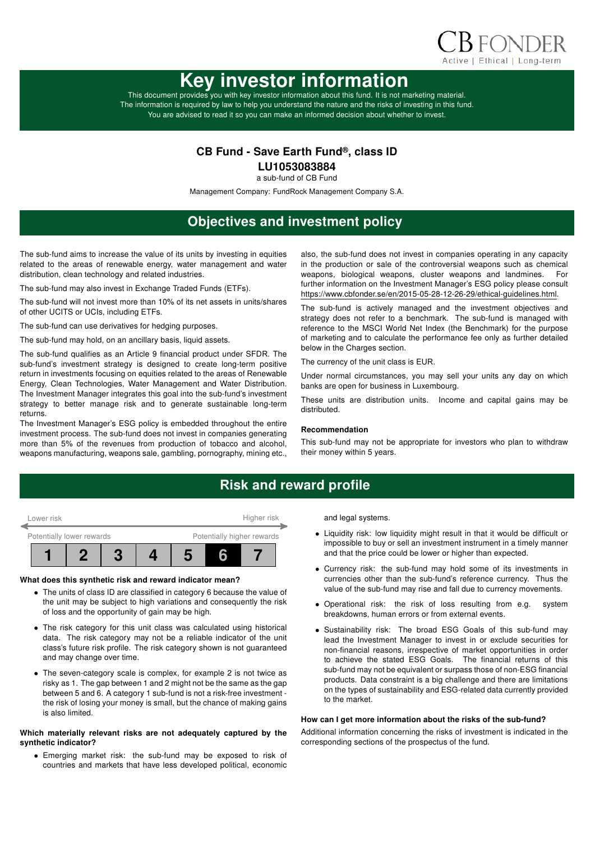

# Key investor information

This document provides you with key investor information about this fund. It is not marketing material. The information is required by law to help you understand the nature and the risks of investing in this fund. You are advised to read it so you can make an informed decision about whether to invest.

### CB Fund - Save Earth Fund®, class ID

LU1053083884

a sub-fund of CB Fund

Management Company: FundRock Management Company S.A.

# Objectives and investment policy

The sub-fund aims to increase the value of its units by investing in equities related to the areas of renewable energy, water management and water distribution, clean technology and related industries.

The sub-fund may also invest in Exchange Traded Funds (ETFs).

The sub-fund will not invest more than 10% of its net assets in units/shares of other UCITS or UCIs, including ETFs.

The sub-fund can use derivatives for hedging purposes.

The sub-fund may hold, on an ancillary basis, liquid assets.

The sub-fund qualifies as an Article 9 financial product under SFDR. The sub-fund's investment strategy is designed to create long-term positive return in investments focusing on equities related to the areas of Renewable Energy, Clean Technologies, Water Management and Water Distribution. The Investment Manager integrates this goal into the sub-fund's investment strategy to better manage risk and to generate sustainable long-term returns.

The Investment Manager's ESG policy is embedded throughout the entire investment process. The sub-fund does not invest in companies generating more than 5% of the revenues from production of tobacco and alcohol, weapons manufacturing, weapons sale, gambling, pornography, mining etc., also, the sub-fund does not invest in companies operating in any capacity in the production or sale of the controversial weapons such as chemical weapons, biological weapons, cluster weapons and landmines. For further information on the Investment Manager's ESG policy please consult https://www.cbfonder.se/en/2015-05-28-12-26-29/ethical-guidelines.html.

The sub-fund is actively managed and the investment objectives and strategy does not refer to a benchmark. The sub-fund is managed with reference to the MSCI World Net Index (the Benchmark) for the purpose of marketing and to calculate the performance fee only as further detailed below in the Charges section.

The currency of the unit class is EUR.

Under normal circumstances, you may sell your units any day on which banks are open for business in Luxembourg.

These units are distribution units. Income and capital gains may be distributed.

#### Recommendation

This sub-fund may not be appropriate for investors who plan to withdraw their money within 5 years.

## Risk and reward profile



### What does this synthetic risk and reward indicator mean?

- The units of class ID are classified in category 6 because the value of the unit may be subject to high variations and consequently the risk of loss and the opportunity of gain may be high.
- The risk category for this unit class was calculated using historical data. The risk category may not be a reliable indicator of the unit class's future risk profile. The risk category shown is not guaranteed and may change over time.
- The seven-category scale is complex, for example 2 is not twice as risky as 1. The gap between 1 and 2 might not be the same as the gap between 5 and 6. A category 1 sub-fund is not a risk-free investment the risk of losing your money is small, but the chance of making gains is also limited.

### Which materially relevant risks are not adequately captured by the synthetic indicator?

• Emerging market risk: the sub-fund may be exposed to risk of countries and markets that have less developed political, economic and legal systems.

- Liquidity risk: low liquidity might result in that it would be difficult or impossible to buy or sell an investment instrument in a timely manner and that the price could be lower or higher than expected.
- Currency risk: the sub-fund may hold some of its investments in currencies other than the sub-fund's reference currency. Thus the value of the sub-fund may rise and fall due to currency movements.
- Operational risk: the risk of loss resulting from e.g. system breakdowns, human errors or from external events.
- Sustainability risk: The broad ESG Goals of this sub-fund may lead the Investment Manager to invest in or exclude securities for non-financial reasons, irrespective of market opportunities in order to achieve the stated ESG Goals. The financial returns of this sub-fund may not be equivalent or surpass those of non-ESG financial products. Data constraint is a big challenge and there are limitations on the types of sustainability and ESG-related data currently provided to the market.

### How can I get more information about the risks of the sub-fund?

Additional information concerning the risks of investment is indicated in the corresponding sections of the prospectus of the fund.